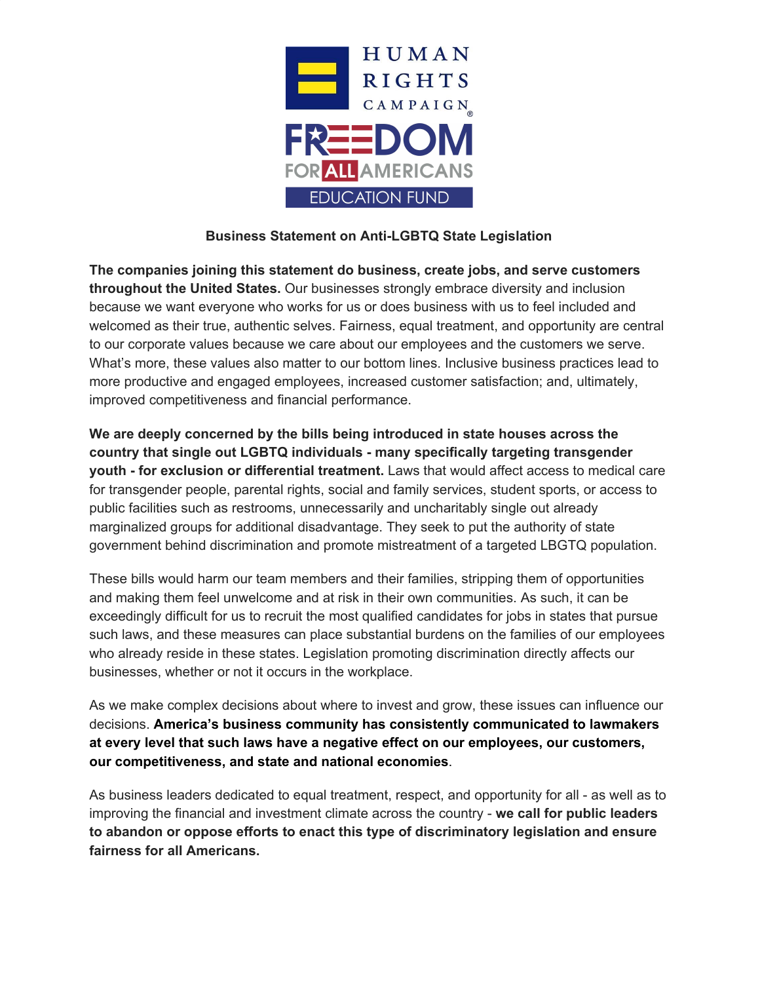

## **Business Statement on Anti-LGBTQ State Legislation**

**The companies joining this statement do business, create jobs, and serve customers throughout the United States.** Our businesses strongly embrace diversity and inclusion because we want everyone who works for us or does business with us to feel included and welcomed as their true, authentic selves. Fairness, equal treatment, and opportunity are central to our corporate values because we care about our employees and the customers we serve. What's more, these values also matter to our bottom lines. Inclusive business practices lead to more productive and engaged employees, increased customer satisfaction; and, ultimately, improved competitiveness and financial performance.

**We are deeply concerned by the bills being introduced in state houses across the country that single out LGBTQ individuals - many specifically targeting transgender youth - for exclusion or differential treatment.** Laws that would affect access to medical care for transgender people, parental rights, social and family services, student sports, or access to public facilities such as restrooms, unnecessarily and uncharitably single out already marginalized groups for additional disadvantage. They seek to put the authority of state government behind discrimination and promote mistreatment of a targeted LBGTQ population.

These bills would harm our team members and their families, stripping them of opportunities and making them feel unwelcome and at risk in their own communities. As such, it can be exceedingly difficult for us to recruit the most qualified candidates for jobs in states that pursue such laws, and these measures can place substantial burdens on the families of our employees who already reside in these states. Legislation promoting discrimination directly affects our businesses, whether or not it occurs in the workplace.

As we make complex decisions about where to invest and grow, these issues can influence our decisions. **America's business community has consistently communicated to lawmakers at every level that such laws have a negative effect on our employees, our customers, our competitiveness, and state and national economies**.

As business leaders dedicated to equal treatment, respect, and opportunity for all - as well as to improving the financial and investment climate across the country - **we call for public leaders to abandon or oppose efforts to enact this type of discriminatory legislation and ensure fairness for all Americans.**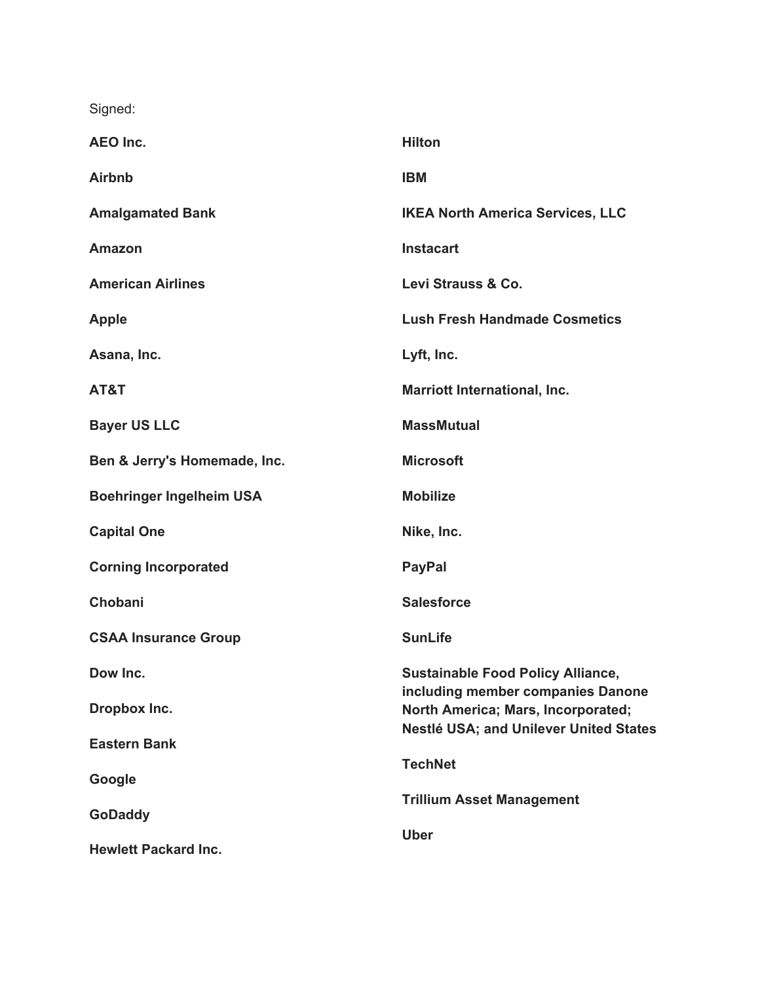Signed:

| <b>AEO Inc.</b>                 | <b>Hilton</b>                                                                 |
|---------------------------------|-------------------------------------------------------------------------------|
| <b>Airbnb</b>                   | <b>IBM</b>                                                                    |
| <b>Amalgamated Bank</b>         | <b>IKEA North America Services, LLC</b>                                       |
| <b>Amazon</b>                   | <b>Instacart</b>                                                              |
| <b>American Airlines</b>        | Levi Strauss & Co.                                                            |
| <b>Apple</b>                    | <b>Lush Fresh Handmade Cosmetics</b>                                          |
| Asana, Inc.                     | Lyft, Inc.                                                                    |
| AT&T                            | <b>Marriott International, Inc.</b>                                           |
| <b>Bayer US LLC</b>             | <b>MassMutual</b>                                                             |
| Ben & Jerry's Homemade, Inc.    | <b>Microsoft</b>                                                              |
| <b>Boehringer Ingelheim USA</b> | <b>Mobilize</b>                                                               |
| <b>Capital One</b>              | Nike, Inc.                                                                    |
| <b>Corning Incorporated</b>     | <b>PayPal</b>                                                                 |
| Chobani                         | <b>Salesforce</b>                                                             |
| <b>CSAA Insurance Group</b>     | <b>SunLife</b>                                                                |
| Dow Inc.                        | <b>Sustainable Food Policy Alliance,</b><br>including member companies Danone |
| Dropbox Inc.                    | North America; Mars, Incorporated;                                            |
| <b>Eastern Bank</b>             | Nestlé USA; and Unilever United States                                        |
| Google                          | <b>TechNet</b>                                                                |
| <b>GoDaddy</b>                  | <b>Trillium Asset Management</b>                                              |
| <b>Hewlett Packard Inc.</b>     | <b>Uber</b>                                                                   |